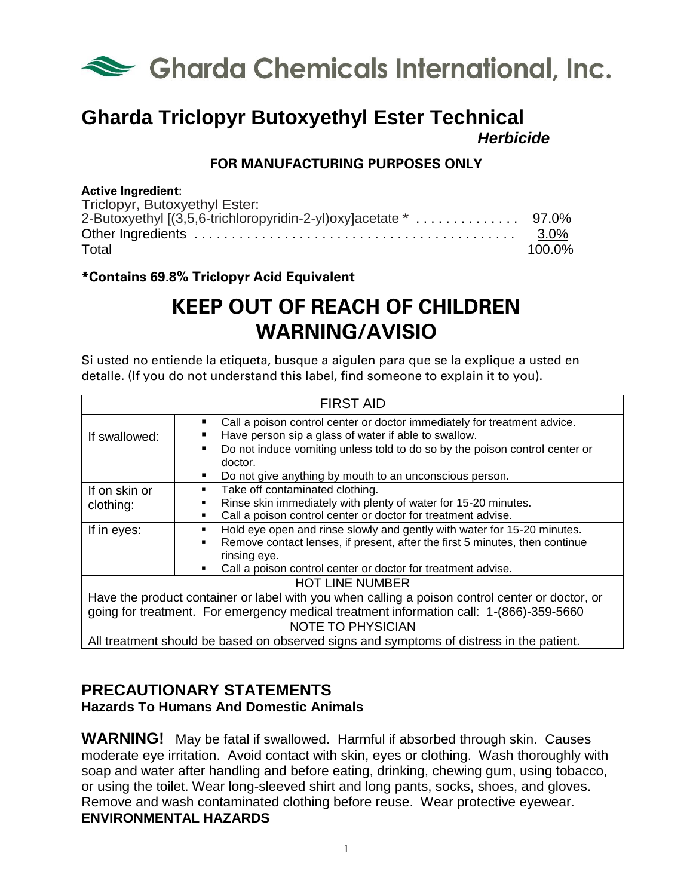

## **Gharda Triclopyr Butoxyethyl Ester Technical** *Herbicide*

### **FOR MANUFACTURING PURPOSES ONLY**

#### **Active Ingredient**:

| Triclopyr, Butoxyethyl Ester: |         |
|-------------------------------|---------|
|                               |         |
|                               | $3.0\%$ |
| Total                         | 100.0%  |

#### **\*Contains 69.8% Triclopyr Acid Equivalent**

# **KEEP OUT OF REACH OF CHILDREN WARNING/AVISIO**

Si usted no entiende la etiqueta, busque a aigulen para que se la explique a usted en detalle. (If you do not understand this label, find someone to explain it to you).

| <b>FIRST AID</b>                                                                                |                                                                                                                                       |  |
|-------------------------------------------------------------------------------------------------|---------------------------------------------------------------------------------------------------------------------------------------|--|
| If swallowed:                                                                                   | Call a poison control center or doctor immediately for treatment advice.<br>٠<br>Have person sip a glass of water if able to swallow. |  |
|                                                                                                 | Do not induce vomiting unless told to do so by the poison control center or<br>doctor.                                                |  |
|                                                                                                 | Do not give anything by mouth to an unconscious person.                                                                               |  |
| If on skin or                                                                                   | Take off contaminated clothing.                                                                                                       |  |
| clothing:                                                                                       | Rinse skin immediately with plenty of water for 15-20 minutes.                                                                        |  |
|                                                                                                 | Call a poison control center or doctor for treatment advise.                                                                          |  |
| If in eyes:                                                                                     | Hold eye open and rinse slowly and gently with water for 15-20 minutes.                                                               |  |
|                                                                                                 | Remove contact lenses, if present, after the first 5 minutes, then continue<br>$\blacksquare$                                         |  |
|                                                                                                 | rinsing eye.                                                                                                                          |  |
|                                                                                                 | Call a poison control center or doctor for treatment advise.<br>٠                                                                     |  |
| <b>HOT LINE NUMBER</b>                                                                          |                                                                                                                                       |  |
| Have the product container or label with you when calling a poison control center or doctor, or |                                                                                                                                       |  |
| going for treatment. For emergency medical treatment information call: 1-(866)-359-5660         |                                                                                                                                       |  |
| <b>NOTE TO PHYSICIAN</b>                                                                        |                                                                                                                                       |  |
| All treatment should be based on observed signs and symptoms of distress in the patient.        |                                                                                                                                       |  |

## **PRECAUTIONARY STATEMENTS**

**Hazards To Humans And Domestic Animals**

**WARNING!** May be fatal if swallowed. Harmful if absorbed through skin. Causes moderate eye irritation. Avoid contact with skin, eyes or clothing. Wash thoroughly with soap and water after handling and before eating, drinking, chewing gum, using tobacco, or using the toilet. Wear long-sleeved shirt and long pants, socks, shoes, and gloves. Remove and wash contaminated clothing before reuse. Wear protective eyewear. **ENVIRONMENTAL HAZARDS**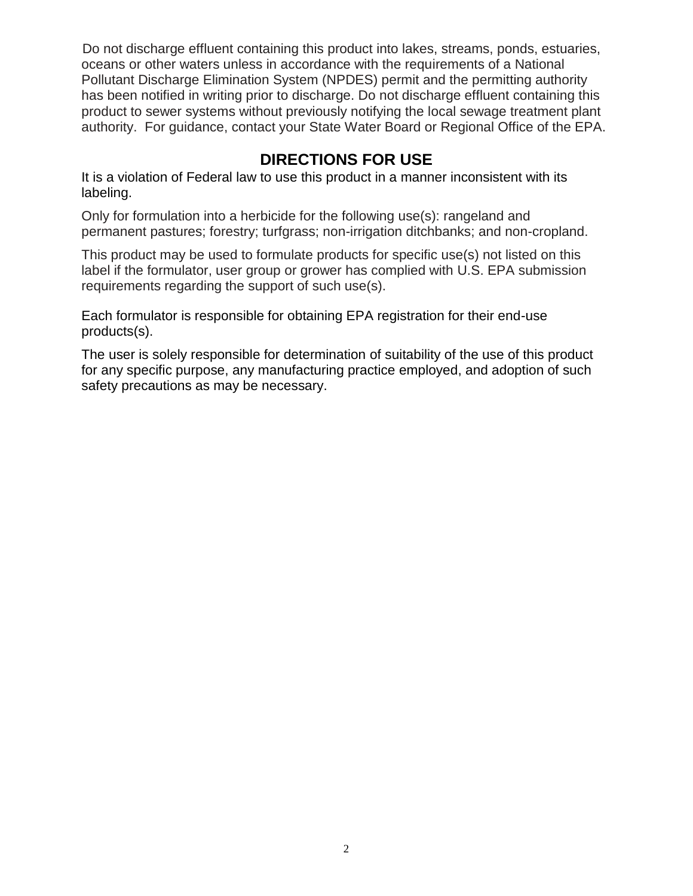Do not discharge effluent containing this product into lakes, streams, ponds, estuaries, oceans or other waters unless in accordance with the requirements of a National Pollutant Discharge Elimination System (NPDES) permit and the permitting authority has been notified in writing prior to discharge. Do not discharge effluent containing this product to sewer systems without previously notifying the local sewage treatment plant authority. For guidance, contact your State Water Board or Regional Office of the EPA.

## **DIRECTIONS FOR USE**

It is a violation of Federal law to use this product in a manner inconsistent with its labeling.

Only for formulation into a herbicide for the following use(s): rangeland and permanent pastures; forestry; turfgrass; non-irrigation ditchbanks; and non-cropland.

This product may be used to formulate products for specific use(s) not listed on this label if the formulator, user group or grower has complied with U.S. EPA submission requirements regarding the support of such use(s).

Each formulator is responsible for obtaining EPA registration for their end-use products(s).

The user is solely responsible for determination of suitability of the use of this product for any specific purpose, any manufacturing practice employed, and adoption of such safety precautions as may be necessary.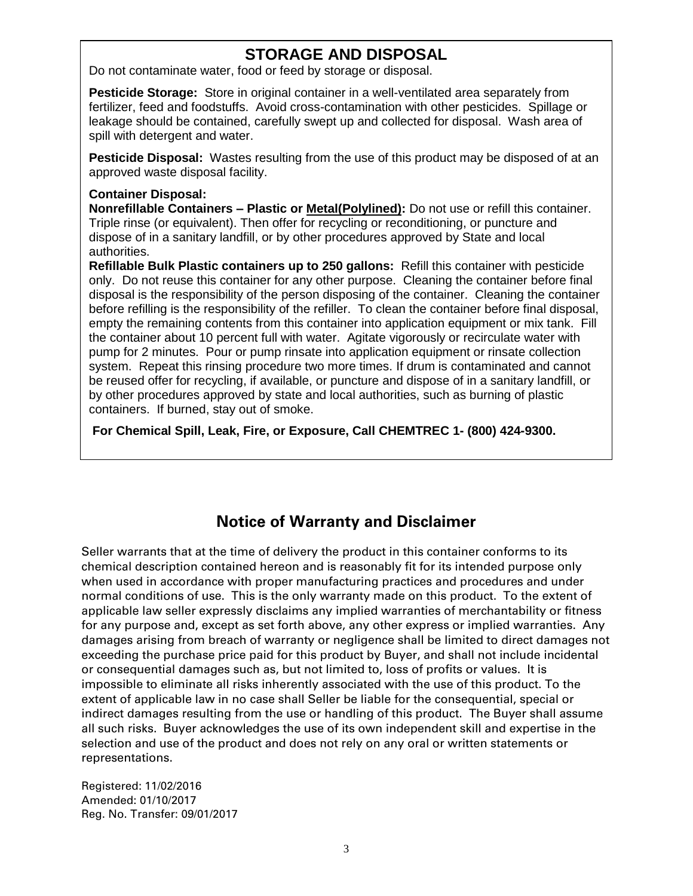## **STORAGE AND DISPOSAL**

Do not contaminate water, food or feed by storage or disposal.

**Pesticide Storage:** Store in original container in a well-ventilated area separately from fertilizer, feed and foodstuffs. Avoid cross-contamination with other pesticides. Spillage or leakage should be contained, carefully swept up and collected for disposal. Wash area of spill with detergent and water.

**Pesticide Disposal:** Wastes resulting from the use of this product may be disposed of at an approved waste disposal facility.

#### **Container Disposal:**

**Nonrefillable Containers – Plastic or Metal(Polylined):** Do not use or refill this container. Triple rinse (or equivalent). Then offer for recycling or reconditioning, or puncture and dispose of in a sanitary landfill, or by other procedures approved by State and local authorities.

**Refillable Bulk Plastic containers up to 250 gallons:** Refill this container with pesticide only. Do not reuse this container for any other purpose. Cleaning the container before final disposal is the responsibility of the person disposing of the container. Cleaning the container before refilling is the responsibility of the refiller. To clean the container before final disposal, empty the remaining contents from this container into application equipment or mix tank. Fill the container about 10 percent full with water. Agitate vigorously or recirculate water with pump for 2 minutes. Pour or pump rinsate into application equipment or rinsate collection system. Repeat this rinsing procedure two more times. If drum is contaminated and cannot be reused offer for recycling, if available, or puncture and dispose of in a sanitary landfill, or by other procedures approved by state and local authorities, such as burning of plastic containers. If burned, stay out of smoke.

**For Chemical Spill, Leak, Fire, or Exposure, Call CHEMTREC 1- (800) 424-9300.**

## **Notice of Warranty and Disclaimer**

Seller warrants that at the time of delivery the product in this container conforms to its chemical description contained hereon and is reasonably fit for its intended purpose only when used in accordance with proper manufacturing practices and procedures and under normal conditions of use. This is the only warranty made on this product. To the extent of applicable law seller expressly disclaims any implied warranties of merchantability or fitness for any purpose and, except as set forth above, any other express or implied warranties. Any damages arising from breach of warranty or negligence shall be limited to direct damages not exceeding the purchase price paid for this product by Buyer, and shall not include incidental or consequential damages such as, but not limited to, loss of profits or values. It is impossible to eliminate all risks inherently associated with the use of this product. To the extent of applicable law in no case shall Seller be liable for the consequential, special or indirect damages resulting from the use or handling of this product. The Buyer shall assume all such risks. Buyer acknowledges the use of its own independent skill and expertise in the selection and use of the product and does not rely on any oral or written statements or representations.

Registered: 11/02/2016 Amended: 01/10/2017 Reg. No. Transfer: 09/01/2017